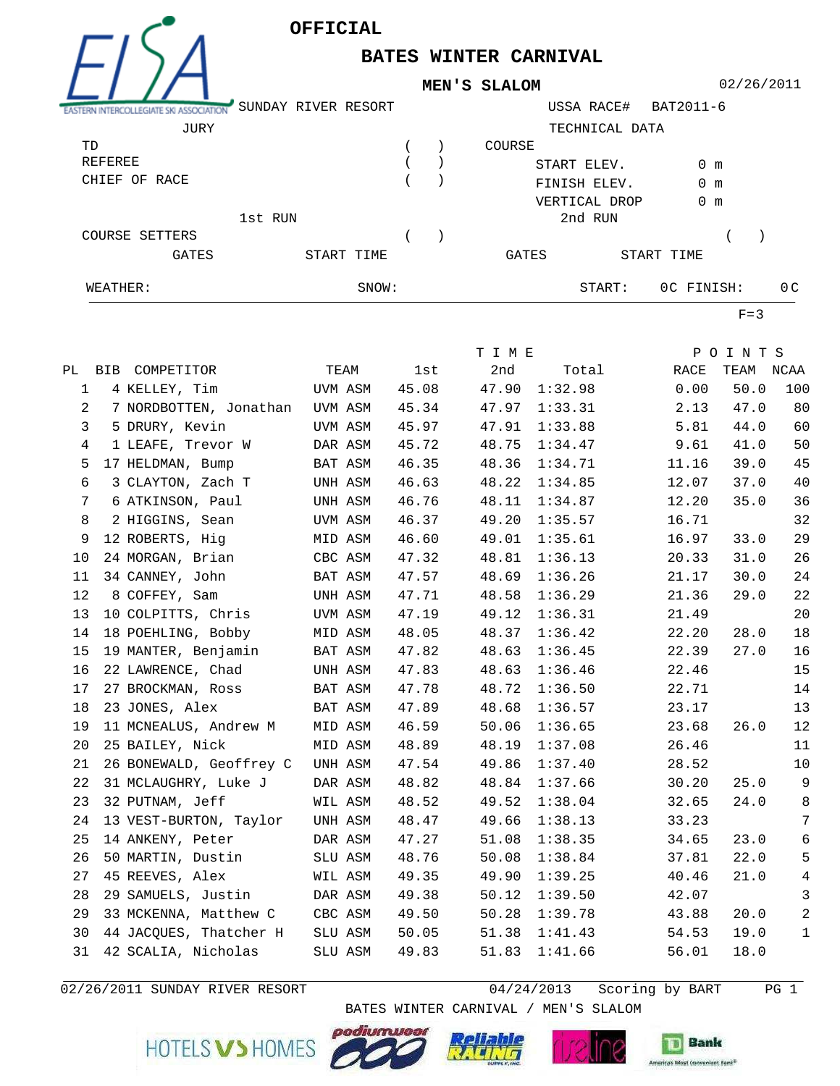

**BATES WINTER CARNIVAL**

**MEN'S SLALOM**

02/26/2011

| ASSOCIATION           | SUNDAY RIVER RESORT |            |  |               | USSA RACE#     | BAT2011-6     |                |
|-----------------------|---------------------|------------|--|---------------|----------------|---------------|----------------|
| JURY                  |                     |            |  |               | TECHNICAL DATA |               |                |
| TD                    |                     |            |  | COURSE        |                |               |                |
| REFEREE               |                     |            |  | START ELEV.   |                | $0 \text{ m}$ |                |
| CHIEF OF RACE         |                     |            |  | FINISH ELEV.  |                | $0 \text{ m}$ |                |
|                       |                     |            |  | VERTICAL DROP |                | $0 \text{ m}$ |                |
| 1st RUN               |                     |            |  |               | 2nd RUN        |               |                |
| <b>COURSE SETTERS</b> |                     |            |  |               |                |               |                |
| <b>GATES</b>          |                     | START TIME |  | GATES         |                | START TIME    |                |
| WEATHER:              |                     | SNOW:      |  |               | START:         | OC FINISH:    | 0 <sup>C</sup> |

 $F=3$ 

|                |                                |         |       | T I M E |               |       | POINTS    |                 |
|----------------|--------------------------------|---------|-------|---------|---------------|-------|-----------|-----------------|
|                | PL BIB COMPETITOR              | TEAM    | lst   | 2nd     | Total         | RACE  | TEAM NCAA |                 |
| 1              | 4 KELLEY, Tim                  | UVM ASM | 45.08 |         | 47.90 1:32.98 | 0.00  | 50.0      | 100             |
| 2              | 7 NORDBOTTEN, Jonathan UVM ASM |         | 45.34 |         | 47.97 1:33.31 | 2.13  | 47.0      | 80              |
| 3              | 5 DRURY, Kevin                 | UVM ASM | 45.97 | 47.91   | 1:33.88       | 5.81  | 44.0      | 60              |
| 4              | 1 LEAFE, Trevor W              | DAR ASM | 45.72 | 48.75   | 1:34.47       | 9.61  | 41.0      | 50              |
| 5              | 17 HELDMAN, Bump               | BAT ASM | 46.35 | 48.36   | 1:34.71       | 11.16 | 39.0      | 45              |
| 6              | 3 CLAYTON, Zach T              | UNH ASM | 46.63 | 48.22   | 1:34.85       | 12.07 | 37.0      | 40              |
| $7\phantom{.}$ | 6 ATKINSON, Paul               | UNH ASM | 46.76 | 48.11   | 1:34.87       | 12.20 | 35.0      | 36              |
| 8              | 2 HIGGINS, Sean                | UVM ASM | 46.37 | 49.20   | 1:35.57       | 16.71 |           | 32              |
| 9              | 12 ROBERTS, Hig                | MID ASM | 46.60 | 49.01   | 1:35.61       | 16.97 | 33.0      | 29              |
| 10             | 24 MORGAN, Brian               | CBC ASM | 47.32 | 48.81   | 1:36.13       | 20.33 | 31.0      | 26              |
| 11             | 34 CANNEY, John                | BAT ASM | 47.57 | 48.69   | 1:36.26       | 21.17 | 30.0      | 24              |
| 12             | 8 COFFEY, Sam                  | UNH ASM | 47.71 | 48.58   | 1:36.29       | 21.36 | 29.0      | $2\sqrt{2}$     |
| 13             | 10 COLPITTS, Chris             | UVM ASM | 47.19 | 49.12   | 1:36.31       | 21.49 |           | 20              |
| 14             | 18 POEHLING, Bobby             | MID ASM | 48.05 | 48.37   | 1:36.42       | 22.20 | 28.0      | $18\,$          |
| 15             | 19 MANTER, Benjamin            | BAT ASM | 47.82 | 48.63   | 1:36.45       | 22.39 | 27.0      | 16              |
| 16             | 22 LAWRENCE, Chad              | UNH ASM | 47.83 | 48.63   | 1:36.46       | 22.46 |           | 15              |
| 17             | 27 BROCKMAN, Ross              | BAT ASM | 47.78 | 48.72   | 1:36.50       | 22.71 |           | 14              |
| 18             | 23 JONES, Alex                 | BAT ASM | 47.89 | 48.68   | 1:36.57       | 23.17 |           | 13              |
| 19             | 11 MCNEALUS, Andrew M MID ASM  |         | 46.59 | 50.06   | 1:36.65       | 23.68 | 26.0      | 12              |
| 20             | 25 BAILEY, Nick                | MID ASM | 48.89 | 48.19   | 1:37.08       | 26.46 |           | 11              |
| 21             | 26 BONEWALD, Geoffrey C        | UNH ASM | 47.54 | 49.86   | 1:37.40       | 28.52 |           | 10              |
| 22             | 31 MCLAUGHRY, Luke J           | DAR ASM | 48.82 | 48.84   | 1:37.66       | 30.20 | 25.0      | 9               |
| 23             | 32 PUTNAM, Jeff                | WIL ASM | 48.52 | 49.52   | 1:38.04       | 32.65 | 24.0      | $\,8\,$         |
| 24             | 13 VEST-BURTON, Taylor UNH ASM |         | 48.47 | 49.66   | 1:38.13       | 33.23 |           | $\overline{7}$  |
| 25             | 14 ANKENY, Peter DAR ASM       |         | 47.27 | 51.08   | 1:38.35       | 34.65 | 23.0      | $\sqrt{6}$      |
| 26             | 50 MARTIN, Dustin              | SLU ASM | 48.76 | 50.08   | 1:38.84       | 37.81 | 22.0      | $5\phantom{.0}$ |
| 27             | 45 REEVES, Alex WIL ASM        |         | 49.35 | 49.90   | 1:39.25       | 40.46 | 21.0      | $\sqrt{4}$      |
| 28             | 29 SAMUELS, Justin             | DAR ASM | 49.38 | 50.12   | 1:39.50       | 42.07 |           | 3               |
| 29             | 33 MCKENNA, Matthew C          | CBC ASM | 49.50 | 50.28   | 1:39.78       | 43.88 | 20.0      | $\overline{a}$  |
| 30             | 44 JACQUES, Thatcher H         | SLU ASM | 50.05 | 51.38   | 1:41.43       | 54.53 | 19.0      | $\mathbf{1}$    |
| 31             | 42 SCALIA, Nicholas            | SLU ASM | 49.83 | 51.83   | 1:41.66       | 56.01 | 18.0      |                 |

 $02/26/2011$  SUNDAY RIVER RESORT

 $04/24/2013$  Scoring by BART PG 1

BATES WINTER CARNIVAL / MEN'S SLALOM